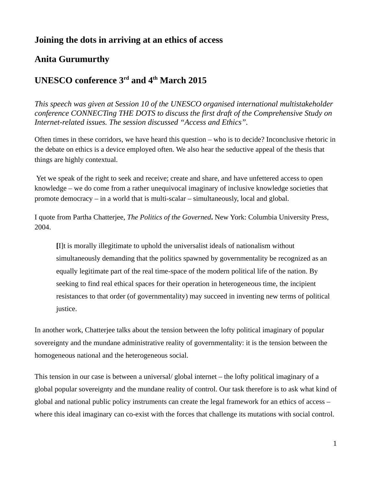## **Joining the dots in arriving at an ethics of access**

## **Anita Gurumurthy**

## **UNESCO conference 3rd and 4th March 2015**

*This speech was given at Session 10 of the UNESCO organised international multistakeholder conference CONNECTing THE DOTS to discuss the first draft of the Comprehensive Study on Internet-related issues. The session discussed "Access and Ethics".*

Often times in these corridors, we have heard this question – who is to decide? Inconclusive rhetoric in the debate on ethics is a device employed often. We also hear the seductive appeal of the thesis that things are highly contextual.

 Yet we speak of the right to seek and receive; create and share, and have unfettered access to open knowledge – we do come from a rather unequivocal imaginary of inclusive knowledge societies that promote democracy – in a world that is multi-scalar – simultaneously, local and global.

I quote from Partha Chatterjee, *The Politics of the Governed***.** New York: Columbia University Press, 2004.

**[**I]t is morally illegitimate to uphold the universalist ideals of nationalism without simultaneously demanding that the politics spawned by governmentality be recognized as an equally legitimate part of the real time-space of the modern political life of the nation. By seeking to find real ethical spaces for their operation in heterogeneous time, the incipient resistances to that order (of governmentality) may succeed in inventing new terms of political justice.

In another work, Chatterjee talks about the tension between the lofty political imaginary of popular sovereignty and the mundane administrative reality of governmentality: it is the tension between the homogeneous national and the heterogeneous social.

This tension in our case is between a universal/ global internet – the lofty political imaginary of a global popular sovereignty and the mundane reality of control. Our task therefore is to ask what kind of global and national public policy instruments can create the legal framework for an ethics of access – where this ideal imaginary can co-exist with the forces that challenge its mutations with social control.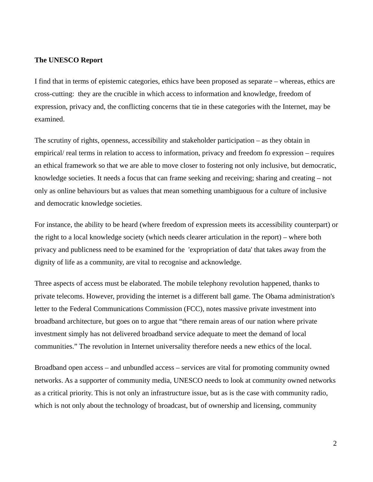## **The UNESCO Report**

I find that in terms of epistemic categories, ethics have been proposed as separate – whereas, ethics are cross-cutting: they are the crucible in which access to information and knowledge, freedom of expression, privacy and, the conflicting concerns that tie in these categories with the Internet, may be examined.

The scrutiny of rights, openness, accessibility and stakeholder participation – as they obtain in empirical/ real terms in relation to access to information, privacy and freedom fo expression – requires an ethical framework so that we are able to move closer to fostering not only inclusive, but democratic, knowledge societies. It needs a focus that can frame seeking and receiving; sharing and creating – not only as online behaviours but as values that mean something unambiguous for a culture of inclusive and democratic knowledge societies.

For instance, the ability to be heard (where freedom of expression meets its accessibility counterpart) or the right to a local knowledge society (which needs clearer articulation in the report) – where both privacy and publicness need to be examined for the 'expropriation of data' that takes away from the dignity of life as a community, are vital to recognise and acknowledge.

Three aspects of access must be elaborated. The mobile telephony revolution happened, thanks to private telecoms. However, providing the internet is a different ball game. The Obama administration's letter to the Federal Communications Commission (FCC), notes massive private investment into broadband architecture, but goes on to argue that "there remain areas of our nation where private investment simply has not delivered broadband service adequate to meet the demand of local communities." The revolution in Internet universality therefore needs a new ethics of the local.

Broadband open access – and unbundled access – services are vital for promoting community owned networks. As a supporter of community media, UNESCO needs to look at community owned networks as a critical priority. This is not only an infrastructure issue, but as is the case with community radio, which is not only about the technology of broadcast, but of ownership and licensing, community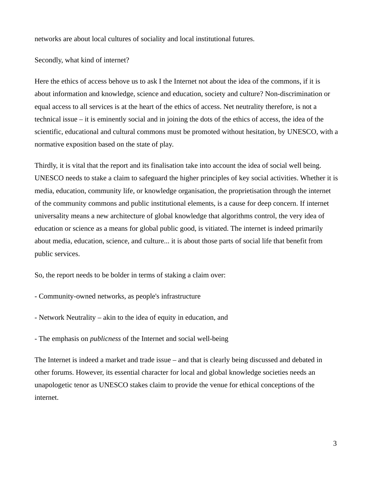networks are about local cultures of sociality and local institutional futures.

Secondly, what kind of internet?

Here the ethics of access behove us to ask I the Internet not about the idea of the commons, if it is about information and knowledge, science and education, society and culture? Non-discrimination or equal access to all services is at the heart of the ethics of access. Net neutrality therefore, is not a technical issue – it is eminently social and in joining the dots of the ethics of access, the idea of the scientific, educational and cultural commons must be promoted without hesitation, by UNESCO, with a normative exposition based on the state of play.

Thirdly, it is vital that the report and its finalisation take into account the idea of social well being. UNESCO needs to stake a claim to safeguard the higher principles of key social activities. Whether it is media, education, community life, or knowledge organisation, the proprietisation through the internet of the community commons and public institutional elements, is a cause for deep concern. If internet universality means a new architecture of global knowledge that algorithms control, the very idea of education or science as a means for global public good, is vitiated. The internet is indeed primarily about media, education, science, and culture... it is about those parts of social life that benefit from public services.

So, the report needs to be bolder in terms of staking a claim over:

- Community-owned networks, as people's infrastructure
- Network Neutrality akin to the idea of equity in education, and

- The emphasis on *publicness* of the Internet and social well-being

The Internet is indeed a market and trade issue – and that is clearly being discussed and debated in other forums. However, its essential character for local and global knowledge societies needs an unapologetic tenor as UNESCO stakes claim to provide the venue for ethical conceptions of the internet.